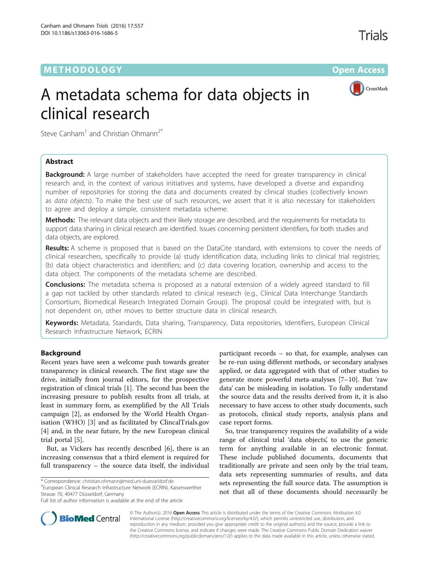## **METHODOLOGY CONSUMING ACCESS CONSUMING ACCESS**



# A metadata schema for data objects in clinical research

Steve Canham<sup>1</sup> and Christian Ohmann<sup>2\*</sup>

## Abstract

**Background:** A large number of stakeholders have accepted the need for greater transparency in clinical research and, in the context of various initiatives and systems, have developed a diverse and expanding number of repositories for storing the data and documents created by clinical studies (collectively known as data objects). To make the best use of such resources, we assert that it is also necessary for stakeholders to agree and deploy a simple, consistent metadata scheme.

Methods: The relevant data objects and their likely storage are described, and the requirements for metadata to support data sharing in clinical research are identified. Issues concerning persistent identifiers, for both studies and data objects, are explored.

Results: A scheme is proposed that is based on the DataCite standard, with extensions to cover the needs of clinical researchers, specifically to provide (a) study identification data, including links to clinical trial registries; (b) data object characteristics and identifiers; and (c) data covering location, ownership and access to the data object. The components of the metadata scheme are described.

**Conclusions:** The metadata schema is proposed as a natural extension of a widely agreed standard to fill a gap not tackled by other standards related to clinical research (e.g., Clinical Data Interchange Standards Consortium, Biomedical Research Integrated Domain Group). The proposal could be integrated with, but is not dependent on, other moves to better structure data in clinical research.

Keywords: Metadata, Standards, Data sharing, Transparency, Data repositories, Identifiers, European Clinical Research Infrastructure Network, ECRIN

## Background

Recent years have seen a welcome push towards greater transparency in clinical research. The first stage saw the drive, initially from journal editors, for the prospective registration of clinical trials [\[1](#page-9-0)]. The second has been the increasing pressure to publish results from all trials, at least in summary form, as exemplified by the All Trials campaign [[2\]](#page-9-0), as endorsed by the World Health Organisation (WHO) [[3\]](#page-9-0) and as facilitated by ClincalTrials.gov [[4\]](#page-9-0) and, in the near future, by the new European clinical trial portal [\[5](#page-9-0)].

But, as Vickers has recently described [\[6](#page-9-0)], there is an increasing consensus that a third element is required for full transparency – the source data itself, the individual

<sup>2</sup>European Clinical Research Infrastructure Network (ECRIN), Kaiserswerther Strasse 70, 40477 Düsseldorf, Germany

participant records – so that, for example, analyses can be re-run using different methods, or secondary analyses applied, or data aggregated with that of other studies to generate more powerful meta-analyses [\[7](#page-9-0)–[10\]](#page-9-0). But 'raw data' can be misleading in isolation. To fully understand the source data and the results derived from it, it is also necessary to have access to other study documents, such as protocols, clinical study reports, analysis plans and case report forms.

So, true transparency requires the availability of a wide range of clinical trial 'data objects', to use the generic term for anything available in an electronic format. These include published documents, documents that traditionally are private and seen only by the trial team, data sets representing summaries of results, and data sets representing the full source data. The assumption is not that all of these documents should necessarily be



© The Author(s). 2016 Open Access This article is distributed under the terms of the Creative Commons Attribution 4.0 International License [\(http://creativecommons.org/licenses/by/4.0/](http://creativecommons.org/licenses/by/4.0/)), which permits unrestricted use, distribution, and reproduction in any medium, provided you give appropriate credit to the original author(s) and the source, provide a link to the Creative Commons license, and indicate if changes were made. The Creative Commons Public Domain Dedication waiver [\(http://creativecommons.org/publicdomain/zero/1.0/](http://creativecommons.org/publicdomain/zero/1.0/)) applies to the data made available in this article, unless otherwise stated.

<sup>\*</sup> Correspondence: [christian.ohmann@med.uni-duesseldorf.de](mailto:christian.ohmann@med.uni-duesseldorf.de) <sup>2</sup>

Full list of author information is available at the end of the article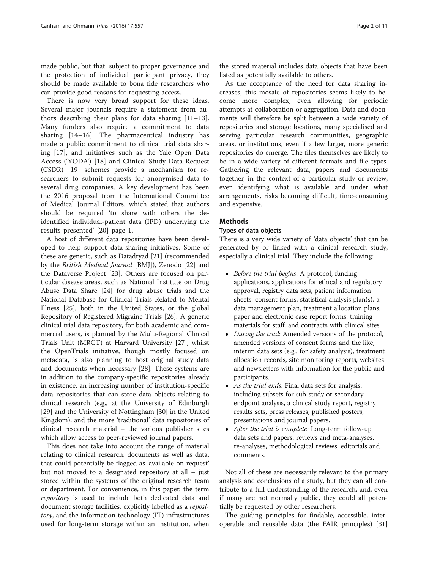<span id="page-1-0"></span>made public, but that, subject to proper governance and the protection of individual participant privacy, they should be made available to bona fide researchers who can provide good reasons for requesting access.

There is now very broad support for these ideas. Several major journals require a statement from authors describing their plans for data sharing [[11](#page-10-0)–[13](#page-10-0)]. Many funders also require a commitment to data sharing [[14](#page-10-0)–[16\]](#page-10-0). The pharmaceutical industry has made a public commitment to clinical trial data sharing [[17](#page-10-0)], and initiatives such as the Yale Open Data Access ('YODA') [\[18](#page-10-0)] and Clinical Study Data Request (CSDR) [[19\]](#page-10-0) schemes provide a mechanism for researchers to submit requests for anonymised data to several drug companies. A key development has been the 2016 proposal from the International Committee of Medical Journal Editors, which stated that authors should be required 'to share with others the deidentified individual-patient data (IPD) underlying the results presented' [[20\]](#page-10-0) page 1.

A host of different data repositories have been developed to help support data-sharing initiatives. Some of these are generic, such as Datadryad [[21](#page-10-0)] (recommended by the British Medical Journal [BMJ]), Zenodo [[22\]](#page-10-0) and the Dataverse Project [[23](#page-10-0)]. Others are focused on particular disease areas, such as National Institute on Drug Abuse Data Share [[24](#page-10-0)] for drug abuse trials and the National Database for Clinical Trials Related to Mental Illness [\[25\]](#page-10-0), both in the United States, or the global Repository of Registered Migraine Trials [[26](#page-10-0)]. A generic clinical trial data repository, for both academic and commercial users, is planned by the Multi-Regional Clinical Trials Unit (MRCT) at Harvard University [[27](#page-10-0)], whilst the OpenTrials initiative, though mostly focused on metadata, is also planning to host original study data and documents when necessary [[28\]](#page-10-0). These systems are in addition to the company-specific repositories already in existence, an increasing number of institution-specific data repositories that can store data objects relating to clinical research (e.g., at the University of Edinburgh [[29\]](#page-10-0) and the University of Nottingham [\[30\]](#page-10-0) in the United Kingdom), and the more 'traditional' data repositories of clinical research material – the various publisher sites which allow access to peer-reviewed journal papers.

This does not take into account the range of material relating to clinical research, documents as well as data, that could potentially be flagged as 'available on request' but not moved to a designated repository at all – just stored within the systems of the original research team or department. For convenience, in this paper, the term repository is used to include both dedicated data and document storage facilities, explicitly labelled as a repository, and the information technology (IT) infrastructures used for long-term storage within an institution, when

the stored material includes data objects that have been listed as potentially available to others.

As the acceptance of the need for data sharing increases, this mosaic of repositories seems likely to become more complex, even allowing for periodic attempts at collaboration or aggregation. Data and documents will therefore be split between a wide variety of repositories and storage locations, many specialised and serving particular research communities, geographic areas, or institutions, even if a few larger, more generic repositories do emerge. The files themselves are likely to be in a wide variety of different formats and file types. Gathering the relevant data, papers and documents together, in the context of a particular study or review, even identifying what is available and under what arrangements, risks becoming difficult, time-consuming and expensive.

## Methods

#### Types of data objects

There is a very wide variety of 'data objects' that can be generated by or linked with a clinical research study, especially a clinical trial. They include the following:

- Before the trial begins: A protocol, funding applications, applications for ethical and regulatory approval, registry data sets, patient information sheets, consent forms, statistical analysis plan(s), a data management plan, treatment allocation plans, paper and electronic case report forms, training materials for staff, and contracts with clinical sites.
- During the trial: Amended versions of the protocol, amended versions of consent forms and the like, interim data sets (e.g., for safety analysis), treatment allocation records, site monitoring reports, websites and newsletters with information for the public and participants.
- As the trial ends: Final data sets for analysis, including subsets for sub-study or secondary endpoint analysis, a clinical study report, registry results sets, press releases, published posters, presentations and journal papers.
- After the trial is complete: Long-term follow-up data sets and papers, reviews and meta-analyses, re-analyses, methodological reviews, editorials and comments.

Not all of these are necessarily relevant to the primary analysis and conclusions of a study, but they can all contribute to a full understanding of the research, and, even if many are not normally public, they could all potentially be requested by other researchers.

The guiding principles for findable, accessible, interoperable and reusable data (the FAIR principles) [[31](#page-10-0)]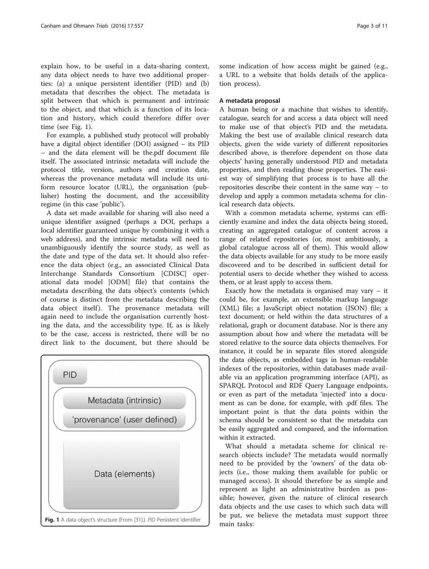explain how, to be useful in a data-sharing context, any data object needs to have two additional properties: (a) a unique persistent identifier (PID) and (b) metadata that describes the object. The metadata is split between that which is permanent and intrinsic to the object, and that which is a function of its location and history, which could therefore differ over time (see Fig. 1).

For example, a published study protocol will probably have a digital object identifier (DOI) assigned – its PID – and the data element will be the.pdf document file itself. The associated intrinsic metadata will include the protocol title, version, authors and creation date, whereas the provenance metadata will include its uniform resource locator (URL), the organisation (publisher) hosting the document, and the accessibility regime (in this case 'public').

A data set made available for sharing will also need a unique identifier assigned (perhaps a DOI, perhaps a local identifier guaranteed unique by combining it with a web address), and the intrinsic metadata will need to unambiguously identify the source study, as well as the date and type of the data set. It should also reference the data object (e.g., an associated Clinical Data Interchange Standards Consortium [CDISC] operational data model [ODM] file) that contains the metadata describing the data object's contents (which of course is distinct from the metadata describing the data object itself). The provenance metadata will again need to include the organisation currently hosting the data, and the accessibility type. If, as is likely to be the case, access is restricted, there will be no direct link to the document, but there should be



some indication of how access might be gained (e.g., a URL to a website that holds details of the application process).

## A metadata proposal

A human being or a machine that wishes to identify, catalogue, search for and access a data object will need to make use of that object's PID and the metadata. Making the best use of available clinical research data objects, given the wide variety of different repositories described above, is therefore dependent on those data objects' having generally understood PID and metadata properties, and then reading those properties. The easiest way of simplifying that process is to have all the repositories describe their content in the same way – to develop and apply a common metadata schema for clinical research data objects.

With a common metadata scheme, systems can efficiently examine and index the data objects being stored, creating an aggregated catalogue of content across a range of related repositories (or, most ambitiously, a global catalogue across all of them). This would allow the data objects available for any study to be more easily discovered and to be described in sufficient detail for potential users to decide whether they wished to access them, or at least apply to access them.

Exactly how the metadata is organised may vary  $-$  it could be, for example, an extensible markup language (XML) file; a JavaScript object notation (JSON) file; a text document; or held within the data structures of a relational, graph or document database. Nor is there any assumption about how and where the metadata will be stored relative to the source data objects themselves. For instance, it could be in separate files stored alongside the data objects, as embedded tags in human-readable indexes of the repositories, within databases made available via an application programming interface (API), as SPARQL Protocol and RDF Query Language endpoints, or even as part of the metadata 'injected' into a document as can be done, for example, with .pdf files. The important point is that the data points within the schema should be consistent so that the metadata can be easily aggregated and compared, and the information within it extracted.

What should a metadata scheme for clinical research objects include? The metadata would normally need to be provided by the 'owners' of the data objects (i.e., those making them available for public or managed access). It should therefore be as simple and represent as light an administrative burden as possible; however, given the nature of clinical research data objects and the use cases to which such data will be put, we believe the metadata must support three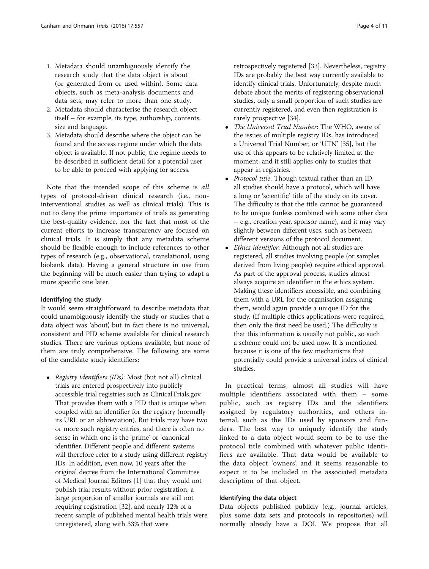- 1. Metadata should unambiguously identify the research study that the data object is about (or generated from or used within). Some data objects, such as meta-analysis documents and data sets, may refer to more than one study.
- 2. Metadata should characterise the research object itself – for example, its type, authorship, contents, size and language.
- 3. Metadata should describe where the object can be found and the access regime under which the data object is available. If not public, the regime needs to be described in sufficient detail for a potential user to be able to proceed with applying for access.

Note that the intended scope of this scheme is all types of protocol-driven clinical research (i.e., noninterventional studies as well as clinical trials). This is not to deny the prime importance of trials as generating the best-quality evidence, nor the fact that most of the current efforts to increase transparency are focused on clinical trials. It is simply that any metadata scheme should be flexible enough to include references to other types of research (e.g., observational, translational, using biobank data). Having a general structure in use from the beginning will be much easier than trying to adapt a more specific one later.

#### Identifying the study

It would seem straightforward to describe metadata that could unambiguously identify the study or studies that a data object was 'about', but in fact there is no universal, consistent and PID scheme available for clinical research studies. There are various options available, but none of them are truly comprehensive. The following are some of the candidate study identifiers:

• Registry identifiers (IDs): Most (but not all) clinical trials are entered prospectively into publicly accessible trial registries such as ClinicalTrials.gov. That provides them with a PID that is unique when coupled with an identifier for the registry (normally its URL or an abbreviation). But trials may have two or more such registry entries, and there is often no sense in which one is the 'prime' or 'canonical' identifier. Different people and different systems will therefore refer to a study using different registry IDs. In addition, even now, 10 years after the original decree from the International Committee of Medical Journal Editors [[1\]](#page-9-0) that they would not publish trial results without prior registration, a large proportion of smaller journals are still not requiring registration [\[32\]](#page-10-0), and nearly 12% of a recent sample of published mental health trials were unregistered, along with 33% that were

retrospectively registered [[33](#page-10-0)]. Nevertheless, registry IDs are probably the best way currently available to identify clinical trials. Unfortunately, despite much debate about the merits of registering observational studies, only a small proportion of such studies are currently registered, and even then registration is rarely prospective [\[34\]](#page-10-0).

- The Universal Trial Number: The WHO, aware of the issues of multiple registry IDs, has introduced a Universal Trial Number, or 'UTN' [[35](#page-10-0)], but the use of this appears to be relatively limited at the moment, and it still applies only to studies that appear in registries.
- Protocol title: Though textual rather than an ID, all studies should have a protocol, which will have a long or 'scientific' title of the study on its cover. The difficulty is that the title cannot be guaranteed to be unique (unless combined with some other data – e.g., creation year, sponsor name), and it may vary slightly between different uses, such as between different versions of the protocol document.
- Ethics identifier: Although not all studies are registered, all studies involving people (or samples derived from living people) require ethical approval. As part of the approval process, studies almost always acquire an identifier in the ethics system. Making these identifiers accessible, and combining them with a URL for the organisation assigning them, would again provide a unique ID for the study. (If multiple ethics applications were required, then only the first need be used.) The difficulty is that this information is usually not public, so such a scheme could not be used now. It is mentioned because it is one of the few mechanisms that potentially could provide a universal index of clinical studies.

In practical terms, almost all studies will have multiple identifiers associated with them – some public, such as registry IDs and the identifiers assigned by regulatory authorities, and others internal, such as the IDs used by sponsors and funders. The best way to uniquely identify the study linked to a data object would seem to be to use the protocol title combined with whatever public identifiers are available. That data would be available to the data object 'owners', and it seems reasonable to expect it to be included in the associated metadata description of that object.

### Identifying the data object

Data objects published publicly (e.g., journal articles, plus some data sets and protocols in repositories) will normally already have a DOI. We propose that all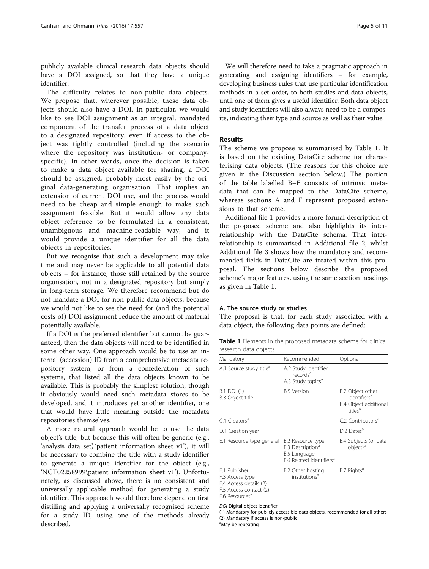<span id="page-4-0"></span>publicly available clinical research data objects should have a DOI assigned, so that they have a unique identifier.

The difficulty relates to non-public data objects. We propose that, wherever possible, these data objects should also have a DOI. In particular, we would like to see DOI assignment as an integral, mandated component of the transfer process of a data object to a designated repository, even if access to the object was tightly controlled (including the scenario where the repository was institution- or companyspecific). In other words, once the decision is taken to make a data object available for sharing, a DOI should be assigned, probably most easily by the original data-generating organisation. That implies an extension of current DOI use, and the process would need to be cheap and simple enough to make such assignment feasible. But it would allow any data object reference to be formulated in a consistent, unambiguous and machine-readable way, and it would provide a unique identifier for all the data objects in repositories.

But we recognise that such a development may take time and may never be applicable to all potential data objects – for instance, those still retained by the source organisation, not in a designated repository but simply in long-term storage. We therefore recommend but do not mandate a DOI for non-public data objects, because we would not like to see the need for (and the potential costs of) DOI assignment reduce the amount of material potentially available.

If a DOI is the preferred identifier but cannot be guaranteed, then the data objects will need to be identified in some other way. One approach would be to use an internal (accession) ID from a comprehensive metadata repository system, or from a confederation of such systems, that listed all the data objects known to be available. This is probably the simplest solution, though it obviously would need such metadata stores to be developed, and it introduces yet another identifier, one that would have little meaning outside the metadata repositories themselves.

A more natural approach would be to use the data object's title, but because this will often be generic (e.g., 'analysis data set', 'patient information sheet v1'), it will be necessary to combine the title with a study identifier to generate a unique identifier for the object (e.g., 'NCT02258999\patient information sheet v1'). Unfortunately, as discussed above, there is no consistent and universally applicable method for generating a study identifier. This approach would therefore depend on first distilling and applying a universally recognised scheme for a study ID, using one of the methods already described.

We will therefore need to take a pragmatic approach in generating and assigning identifiers – for example, developing business rules that use particular identification methods in a set order, to both studies and data objects, until one of them gives a useful identifier. Both data object and study identifiers will also always need to be a composite, indicating their type and source as well as their value.

#### Results

The scheme we propose is summarised by Table 1. It is based on the existing DataCite scheme for characterising data objects. (The reasons for this choice are given in the [Discussion](#page-7-0) section below.) The portion of the table labelled B–E consists of intrinsic metadata that can be mapped to the DataCite scheme, whereas sections A and F represent proposed extensions to that scheme.

Additional file [1](#page-9-0) provides a more formal description of the proposed scheme and also highlights its interrelationship with the DataCite schema. That interrelationship is summarised in Additional file [2](#page-9-0), whilst Additional file [3](#page-9-0) shows how the mandatory and recommended fields in DataCite are treated within this proposal. The sections below describe the proposed scheme's major features, using the same section headings as given in Table 1.

#### A. The source study or studies

The proposal is that, for each study associated with a data object, the following data points are defined:

Table 1 Elements in the proposed metadata scheme for clinical research data objects

| Mandatory                                                                                                          | Recommended                                                                                               | Optional                                                                                     |
|--------------------------------------------------------------------------------------------------------------------|-----------------------------------------------------------------------------------------------------------|----------------------------------------------------------------------------------------------|
| A.1 Source study title <sup>a</sup>                                                                                | A.2 Study identifier<br>records <sup>a</sup><br>A.3 Study topics <sup>a</sup>                             |                                                                                              |
| <b>B.1 DOI (1)</b><br>B.3 Object title                                                                             | <b>B.5 Version</b>                                                                                        | B.2 Object other<br>identifiers <sup>a</sup><br>B.4 Object additional<br>titles <sup>a</sup> |
| C.1 Creators <sup>a</sup>                                                                                          |                                                                                                           | C.2 Contributors <sup>a</sup>                                                                |
| D.1 Creation year                                                                                                  |                                                                                                           | D.2 Dates <sup>a</sup>                                                                       |
| E.1 Resource type general                                                                                          | E.2 Resource type<br>E.3 Description <sup>a</sup><br>E.5 Language<br>F.6 Related identifiers <sup>a</sup> | E.4 Subjects (of data<br>object) <sup>a</sup>                                                |
| F.1 Publisher<br>F.3 Access type<br>F.4 Access details (2)<br>F.5 Access contact (2)<br>F.6 Resources <sup>a</sup> | F.2 Other hosting<br>institutions <sup>a</sup>                                                            | F.7 Rights <sup>a</sup>                                                                      |

DOI Digital object identifier

(1) Mandatory for publicly accessible data objects, recommended for all others (2) Mandatory if access is non-public

<sup>a</sup>May be repeating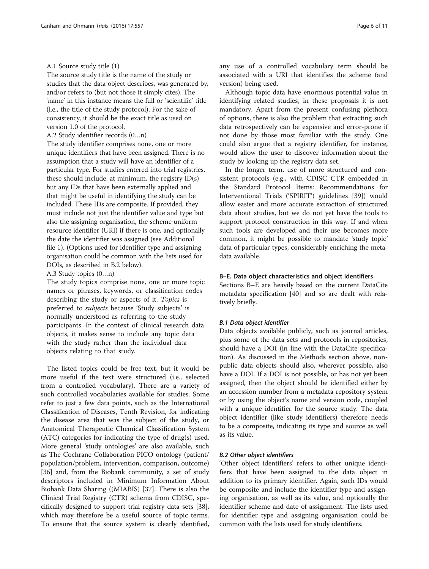## A.1 Source study title (1)

The source study title is the name of the study or studies that the data object describes, was generated by, and/or refers to (but not those it simply cites). The 'name' in this instance means the full or 'scientific' title (i.e., the title of the study protocol). For the sake of consistency, it should be the exact title as used on version 1.0 of the protocol.

A.2 Study identifier records (0…n)

The study identifier comprises none, one or more unique identifiers that have been assigned. There is no assumption that a study will have an identifier of a particular type. For studies entered into trial registries, these should include, at minimum, the registry ID(s), but any IDs that have been externally applied and that might be useful in identifying the study can be included. These IDs are composite. If provided, they must include not just the identifier value and type but also the assigning organisation, the scheme uniform resource identifier (URI) if there is one, and optionally the date the identifier was assigned (see Additional file [1](#page-9-0)). (Options used for identifier type and assigning organisation could be common with the lists used for DOIs, as described in B.2 below).

A.3 Study topics (0…n)

The study topics comprise none, one or more topic names or phrases, keywords, or classification codes describing the study or aspects of it. Topics is preferred to subjects because 'Study subjects' is normally understood as referring to the study participants. In the context of clinical research data objects, it makes sense to include any topic data with the study rather than the individual data objects relating to that study.

The listed topics could be free text, but it would be more useful if the text were structured (i.e., selected from a controlled vocabulary). There are a variety of such controlled vocabularies available for studies. Some refer to just a few data points, such as the International Classification of Diseases, Tenth Revision, for indicating the disease area that was the subject of the study, or Anatomical Therapeutic Chemical Classification System (ATC) categories for indicating the type of drug(s) used. More general 'study ontologies' are also available, such as The Cochrane Collaboration PICO ontology (patient/ population/problem, intervention, comparison, outcome) [[36\]](#page-10-0) and, from the Biobank community, a set of study descriptors included in Minimum Information About Biobank Data Sharing ((MIABIS) [\[37](#page-10-0)]. There is also the Clinical Trial Registry (CTR) schema from CDISC, specifically designed to support trial registry data sets [\[38](#page-10-0)], which may therefore be a useful source of topic terms. To ensure that the source system is clearly identified,

any use of a controlled vocabulary term should be associated with a URI that identifies the scheme (and version) being used.

Although topic data have enormous potential value in identifying related studies, in these proposals it is not mandatory. Apart from the present confusing plethora of options, there is also the problem that extracting such data retrospectively can be expensive and error-prone if not done by those most familiar with the study. One could also argue that a registry identifier, for instance, would allow the user to discover information about the study by looking up the registry data set.

In the longer term, use of more structured and consistent protocols (e.g., with CDISC CTR embedded in the Standard Protocol Items: Recommendations for Interventional Trials ('SPIRIT') guidelines [[39\]](#page-10-0)) would allow easier and more accurate extraction of structured data about studies, but we do not yet have the tools to support protocol construction in this way. If and when such tools are developed and their use becomes more common, it might be possible to mandate 'study topic' data of particular types, considerably enriching the metadata available.

### B–E. Data object characteristics and object identifiers

Sections B–E are heavily based on the current DataCite metadata specification [\[40](#page-10-0)] and so are dealt with relatively briefly.

#### B.1 Data object identifier

Data objects available publicly, such as journal articles, plus some of the data sets and protocols in repositories, should have a DOI (in line with the DataCite specification). As discussed in the [Methods](#page-1-0) section above, nonpublic data objects should also, wherever possible, also have a DOI. If a DOI is not possible, or has not yet been assigned, then the object should be identified either by an accession number from a metadata repository system or by using the object's name and version code, coupled with a unique identifier for the source study. The data object identifier (like study identifiers) therefore needs to be a composite, indicating its type and source as well as its value.

## B.2 Other object identifiers

'Other object identifiers' refers to other unique identifiers that have been assigned to the data object in addition to its primary identifier. Again, such IDs would be composite and include the identifier type and assigning organisation, as well as its value, and optionally the identifier scheme and date of assignment. The lists used for identifier type and assigning organisation could be common with the lists used for study identifiers.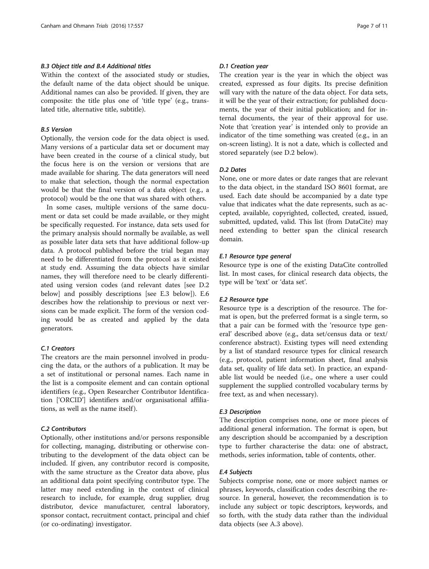## B.3 Object title and B.4 Additional titles

Within the context of the associated study or studies, the default name of the data object should be unique. Additional names can also be provided. If given, they are composite: the title plus one of 'title type' (e.g., translated title, alternative title, subtitle).

## B.5 Version

Optionally, the version code for the data object is used. Many versions of a particular data set or document may have been created in the course of a clinical study, but the focus here is on the version or versions that are made available for sharing. The data generators will need to make that selection, though the normal expectation would be that the final version of a data object (e.g., a protocol) would be the one that was shared with others.

In some cases, multiple versions of the same document or data set could be made available, or they might be specifically requested. For instance, data sets used for the primary analysis should normally be available, as well as possible later data sets that have additional follow-up data. A protocol published before the trial began may need to be differentiated from the protocol as it existed at study end. Assuming the data objects have similar names, they will therefore need to be clearly differentiated using version codes (and relevant dates [see D.2 below] and possibly descriptions [see E.3 below]). E.6 describes how the relationship to previous or next versions can be made explicit. The form of the version coding would be as created and applied by the data generators.

#### C.1 Creators

The creators are the main personnel involved in producing the data, or the authors of a publication. It may be a set of institutional or personal names. Each name in the list is a composite element and can contain optional identifiers (e.g., Open Researcher Contributor Identification ['ORCID'] identifiers and/or organisational affiliations, as well as the name itself ).

## C.2 Contributors

Optionally, other institutions and/or persons responsible for collecting, managing, distributing or otherwise contributing to the development of the data object can be included. If given, any contributor record is composite, with the same structure as the Creator data above, plus an additional data point specifying contributor type. The latter may need extending in the context of clinical research to include, for example, drug supplier, drug distributor, device manufacturer, central laboratory, sponsor contact, recruitment contact, principal and chief (or co-ordinating) investigator.

#### D.1 Creation year

The creation year is the year in which the object was created, expressed as four digits. Its precise definition will vary with the nature of the data object. For data sets, it will be the year of their extraction; for published documents, the year of their initial publication; and for internal documents, the year of their approval for use. Note that 'creation year' is intended only to provide an indicator of the time something was created (e.g., in an on-screen listing). It is not a date, which is collected and stored separately (see D.2 below).

#### D.2 Dates

None, one or more dates or date ranges that are relevant to the data object, in the standard ISO 8601 format, are used. Each date should be accompanied by a date type value that indicates what the date represents, such as accepted, available, copyrighted, collected, created, issued, submitted, updated, valid. This list (from DataCite) may need extending to better span the clinical research domain.

#### E.1 Resource type general

Resource type is one of the existing DataCite controlled list. In most cases, for clinical research data objects, the type will be 'text' or 'data set'.

#### E.2 Resource type

Resource type is a description of the resource. The format is open, but the preferred format is a single term, so that a pair can be formed with the 'resource type general' described above (e.g., data set/census data or text/ conference abstract). Existing types will need extending by a list of standard resource types for clinical research (e.g., protocol, patient information sheet, final analysis data set, quality of life data set). In practice, an expandable list would be needed (i.e., one where a user could supplement the supplied controlled vocabulary terms by free text, as and when necessary).

## E.3 Description

The description comprises none, one or more pieces of additional general information. The format is open, but any description should be accompanied by a description type to further characterise the data: one of abstract, methods, series information, table of contents, other.

## E.4 Subjects

Subjects comprise none, one or more subject names or phrases, keywords, classification codes describing the resource. In general, however, the recommendation is to include any subject or topic descriptors, keywords, and so forth, with the study data rather than the individual data objects (see A.3 above).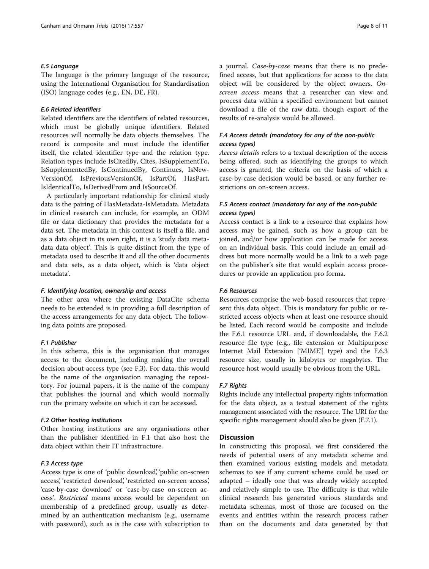## <span id="page-7-0"></span>E.5 Language

The language is the primary language of the resource, using the International Organisation for Standardisation (ISO) language codes (e.g., EN, DE, FR).

## E.6 Related identifiers

Related identifiers are the identifiers of related resources, which must be globally unique identifiers. Related resources will normally be data objects themselves. The record is composite and must include the identifier itself, the related identifier type and the relation type. Relation types include IsCitedBy, Cites, IsSupplementTo, IsSupplementedBy, IsContinuedBy, Continues, IsNew-VersionOf, IsPreviousVersionOf, IsPartOf, HasPart, IsIdenticalTo, IsDerivedFrom and IsSourceOf.

A particularly important relationship for clinical study data is the pairing of HasMetadata-IsMetadata. Metadata in clinical research can include, for example, an ODM file or data dictionary that provides the metadata for a data set. The metadata in this context is itself a file, and as a data object in its own right, it is a 'study data metadata data object'. This is quite distinct from the type of metadata used to describe it and all the other documents and data sets, as a data object, which is 'data object metadata'.

## F. Identifying location, ownership and access

The other area where the existing DataCite schema needs to be extended is in providing a full description of the access arrangements for any data object. The following data points are proposed.

#### F.1 Publisher

In this schema, this is the organisation that manages access to the document, including making the overall decision about access type (see F.3). For data, this would be the name of the organisation managing the repository. For journal papers, it is the name of the company that publishes the journal and which would normally run the primary website on which it can be accessed.

#### F.2 Other hosting institutions

Other hosting institutions are any organisations other than the publisher identified in F.1 that also host the data object within their IT infrastructure.

#### F.3 Access type

Access type is one of 'public download', 'public on-screen access', 'restricted download', 'restricted on-screen access', 'case-by-case download' or 'case-by-case on-screen access'. Restricted means access would be dependent on membership of a predefined group, usually as determined by an authentication mechanism (e.g., username with password), such as is the case with subscription to a journal. Case-by-case means that there is no predefined access, but that applications for access to the data object will be considered by the object owners. Onscreen access means that a researcher can view and process data within a specified environment but cannot download a file of the raw data, though export of the results of re-analysis would be allowed.

## F.4 Access details (mandatory for any of the non-public access types)

Access details refers to a textual description of the access being offered, such as identifying the groups to which access is granted, the criteria on the basis of which a case-by-case decision would be based, or any further restrictions on on-screen access.

## F.5 Access contact (mandatory for any of the non-public access types)

Access contact is a link to a resource that explains how access may be gained, such as how a group can be joined, and/or how application can be made for access on an individual basis. This could include an email address but more normally would be a link to a web page on the publisher's site that would explain access procedures or provide an application pro forma.

## F.6 Resources

Resources comprise the web-based resources that represent this data object. This is mandatory for public or restricted access objects when at least one resource should be listed. Each record would be composite and include the F.6.1 resource URL and, if downloadable, the F.6.2 resource file type (e.g., file extension or Multipurpose Internet Mail Extension ['MIME'] type) and the F.6.3 resource size, usually in kilobytes or megabytes. The resource host would usually be obvious from the URL.

#### F.7 Rights

Rights include any intellectual property rights information for the data object, as a textual statement of the rights management associated with the resource. The URI for the specific rights management should also be given (F.7.1).

#### **Discussion**

In constructing this proposal, we first considered the needs of potential users of any metadata scheme and then examined various existing models and metadata schemas to see if any current scheme could be used or adapted – ideally one that was already widely accepted and relatively simple to use. The difficulty is that while clinical research has generated various standards and metadata schemas, most of those are focused on the events and entities within the research process rather than on the documents and data generated by that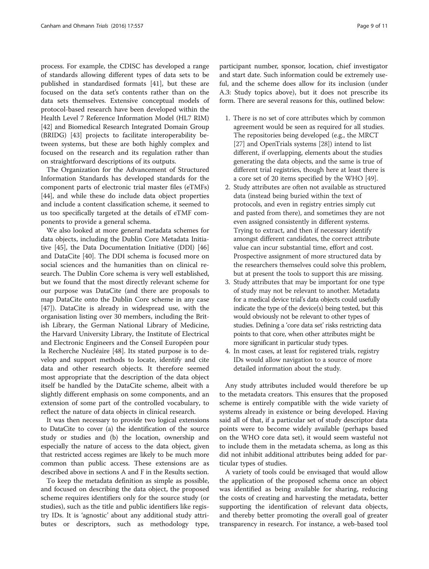process. For example, the CDISC has developed a range of standards allowing different types of data sets to be published in standardised formats [[41\]](#page-10-0), but these are focused on the data set's contents rather than on the data sets themselves. Extensive conceptual models of protocol-based research have been developed within the Health Level 7 Reference Information Model (HL7 RIM) [[42\]](#page-10-0) and Biomedical Research Integrated Domain Group (BRIDG) [[43\]](#page-10-0) projects to facilitate interoperability between systems, but these are both highly complex and focused on the research and its regulation rather than on straightforward descriptions of its outputs.

The Organization for the Advancement of Structured Information Standards has developed standards for the component parts of electronic trial master files (eTMFs) [[44\]](#page-10-0), and while these do include data object properties and include a content classification scheme, it seemed to us too specifically targeted at the details of eTMF components to provide a general schema.

We also looked at more general metadata schemes for data objects, including the Dublin Core Metadata Initiative [[45](#page-10-0)], the Data Documentation Initiative (DDI) [[46](#page-10-0)] and DataCite [[40\]](#page-10-0). The DDI schema is focused more on social sciences and the humanities than on clinical research. The Dublin Core schema is very well established, but we found that the most directly relevant scheme for our purpose was DataCite (and there are proposals to map DataCite onto the Dublin Core scheme in any case [[47\]](#page-10-0)). DataCite is already in widespread use, with the organisation listing over 30 members, including the British Library, the German National Library of Medicine, the Harvard University Library, the Institute of Electrical and Electronic Engineers and the Conseil Européen pour la Recherche Nucléaire [\[48\]](#page-10-0). Its stated purpose is to develop and support methods to locate, identify and cite data and other research objects. It therefore seemed most appropriate that the description of the data object itself be handled by the DataCite scheme, albeit with a slightly different emphasis on some components, and an extension of some part of the controlled vocabulary, to reflect the nature of data objects in clinical research.

It was then necessary to provide two logical extensions to DataCite to cover (a) the identification of the source study or studies and (b) the location, ownership and especially the nature of access to the data object, given that restricted access regimes are likely to be much more common than public access. These extensions are as described above in sections A and F in the [Results](#page-4-0) section.

To keep the metadata definition as simple as possible, and focused on describing the data object, the proposed scheme requires identifiers only for the source study (or studies), such as the title and public identifiers like registry IDs. It is 'agnostic' about any additional study attributes or descriptors, such as methodology type, participant number, sponsor, location, chief investigator and start date. Such information could be extremely useful, and the scheme does allow for its inclusion (under A.3: Study topics above), but it does not prescribe its form. There are several reasons for this, outlined below:

- 1. There is no set of core attributes which by common agreement would be seen as required for all studies. The repositories being developed (e.g., the MRCT [[27](#page-10-0)] and OpenTrials systems [[28](#page-10-0)]) intend to list different, if overlapping, elements about the studies generating the data objects, and the same is true of different trial registries, though here at least there is a core set of 20 items specified by the WHO [\[49\]](#page-10-0).
- 2. Study attributes are often not available as structured data (instead being buried within the text of protocols, and even in registry entries simply cut and pasted from there), and sometimes they are not even assigned consistently in different systems. Trying to extract, and then if necessary identify amongst different candidates, the correct attribute value can incur substantial time, effort and cost. Prospective assignment of more structured data by the researchers themselves could solve this problem, but at present the tools to support this are missing.
- 3. Study attributes that may be important for one type of study may not be relevant to another. Metadata for a medical device trial's data objects could usefully indicate the type of the device(s) being tested, but this would obviously not be relevant to other types of studies. Defining a 'core data set' risks restricting data points to that core, when other attributes might be more significant in particular study types.
- 4. In most cases, at least for registered trials, registry IDs would allow navigation to a source of more detailed information about the study.

Any study attributes included would therefore be up to the metadata creators. This ensures that the proposed scheme is entirely compatible with the wide variety of systems already in existence or being developed. Having said all of that, if a particular set of study descriptor data points were to become widely available (perhaps based on the WHO core data set), it would seem wasteful not to include them in the metadata schema, as long as this did not inhibit additional attributes being added for particular types of studies.

A variety of tools could be envisaged that would allow the application of the proposed schema once an object was identified as being available for sharing, reducing the costs of creating and harvesting the metadata, better supporting the identification of relevant data objects, and thereby better promoting the overall goal of greater transparency in research. For instance, a web-based tool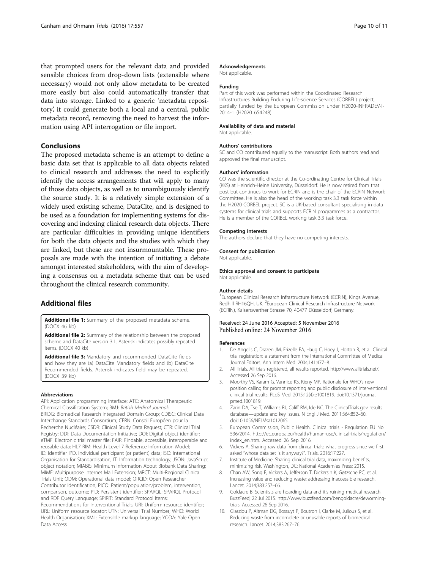<span id="page-9-0"></span>that prompted users for the relevant data and provided sensible choices from drop-down lists (extensible where necessary) would not only allow metadata to be created more easily but also could automatically transfer that data into storage. Linked to a generic 'metadata repository', it could generate both a local and a central, public metadata record, removing the need to harvest the information using API interrogation or file import.

## Conclusions

The proposed metadata scheme is an attempt to define a basic data set that is applicable to all data objects related to clinical research and addresses the need to explicitly identify the access arrangements that will apply to many of those data objects, as well as to unambiguously identify the source study. It is a relatively simple extension of a widely used existing scheme, DataCite, and is designed to be used as a foundation for implementing systems for discovering and indexing clinical research data objects. There are particular difficulties in providing unique identifiers for both the data objects and the studies with which they are linked, but these are not insurmountable. These proposals are made with the intention of initiating a debate amongst interested stakeholders, with the aim of developing a consensus on a metadata scheme that can be used throughout the clinical research community.

## Additional files

[Additional file 1:](dx.doi.org/10.1186/s13063-016-1686-5) Summary of the proposed metadata scheme. (DOCX 46 kb)

[Additional file 2:](dx.doi.org/10.1186/s13063-016-1686-5) Summary of the relationship between the proposed scheme and DataCite version 3.1. Asterisk indicates possibly repeated items. (DOCX 40 kb)

[Additional file 3:](dx.doi.org/10.1186/s13063-016-1686-5) Mandatory and recommended DataCite fields and how they are (a) DataCite Mandatory fields and (b) DataCite Recommended fields. Asterisk indicates field may be repeated. (DOCX 39 kb)

#### Abbreviations

API: Application programming interface; ATC: Anatomical Therapeutic Chemical Classification System; BMJ: British Medical Journal; BRIDG: Biomedical Research Integrated Domain Group; CDISC: Clinical Data Interchange Standards Consortium; CERN: Conseil Européen pour la Recherche Nucléaire; CSDR: Clinical Study Data Request; CTR: Clinical Trial Registry; DDI: Data Documentation Initiative; DOI: Digital object identifier; eTMF: Electronic trial master file; FAIR: Findable, accessible, interoperable and reusable data; HL7 RIM: Health Level 7 Reference Information Model; ID: Identifier IPD, Individual participant (or patient) data; ISO: International Organisation for Standardisation; IT: Information technology; JSON: JavaScript object notation; MIABIS: Minimum Information About Biobank Data Sharing; MIME: Multipurpose Internet Mail Extension; MRCT: Multi-Regional Clinical Trials Unit; ODM: Operational data model; ORCID: Open Researcher Contributor Identification; PICO: Patient/population/problem, intervention, comparison, outcome; PID: Persistent identifier; SPARQL: SPARQL Protocol and RDF Query Language; SPIRIT: Standard Protocol Items: Recommendations for Interventional Trials; URI: Uniform resource identifier; URL: Uniform resource locator; UTN: Universal Trial Number; WHO: World Health Organisation; XML: Extensible markup language; YODA: Yale Open Data Access

#### Acknowledgements

Not applicable.

#### Funding

Part of this work was performed within the Coordinated Research Infrastructures Building Enduring Life-science Services (CORBEL) project, partially funded by the European Commission under H2020-INFRADEV-I-2014-1 (H2020 654248).

#### Availability of data and material

Not applicable.

#### Authors' contributions

SC and CO contributed equally to the manuscript. Both authors read and approved the final manuscript.

#### Authors' information

CO was the scientific director at the Co-ordinating Centre for Clinical Trials (KKS) at Heinrich-Heine University, Düsseldorf. He is now retired from that post but continues to work for ECRIN and is the chair of the ECRIN Network Committee. He is also the head of the working task 3.3 task force within the H2020 CORBEL project. SC is a UK-based consultant specialising in data systems for clinical trials and supports ECRIN programmes as a contractor. He is a member of the CORBEL working task 3.3 task force.

#### Competing interests

The authors declare that they have no competing interests.

#### Consent for publication

Not applicable

#### Ethics approval and consent to participate

Not applicable.

#### Author details

<sup>1</sup> European Clinical Research Infrastructure Network (ECRIN), Kings Avenue, Redhill RH16QH, UK. <sup>2</sup> European Clinical Research Infrastructure Network (ECRIN), Kaiserswerther Strasse 70, 40477 Düsseldorf, Germany.

#### Received: 24 June 2016 Accepted: 5 November 2016 Published online: 24 November 2016

#### References

- 1. De Angelis C, Drazen JM, Frizelle FA, Haug C, Hoey J, Horton R, et al. Clinical trial registration: a statement from the International Committee of Medical Journal Editors. Ann Intern Med. 2004;141:477–8.
- 2. All Trials. All trials registered, all results reported. [http://www.alltrials.net/.](http://www.alltrials.net/) Accessed 26 Sep 2016.
- 3. Moorthy VS, Karam G, Vannice KS, Kieny MP. Rationale for WHO's new position calling for prompt reporting and public disclosure of interventional clinical trial results. PLoS Med. 2015;12(4):e1001819. doi:[10.1371/journal.](http://dx.doi.org/10.1371/journal.pmed.1001819) [pmed.1001819.](http://dx.doi.org/10.1371/journal.pmed.1001819)
- 4. Zarin DA, Tse T, Williams RJ, Califf RM, Ide NC. The ClinicalTrials.gov results database—update and key issues. N Engl J Med. 2011;364:852–60. doi[:10.1056/NEJMsa1012065.](http://dx.doi.org/10.1056/NEJMsa1012065)
- 5. European Commission, Public Health. Clinical trials Regulation EU No 536/2014. [http://ec.europa.eu/health/human-use/clinical-trials/regulation/](http://ec.europa.eu/health/human-use/clinical-trials/regulation/index_en.htm) [index\\_en.htm](http://ec.europa.eu/health/human-use/clinical-trials/regulation/index_en.htm). Accessed 26 Sep 2016.
- 6. Vickers A. Sharing raw data from clinical trials: what progress since we first asked "whose data set is it anyway?". Trials. 2016;17:227.
- 7. Institute of Medicine. Sharing clinical trial data, maximizing benefits, minimizing risk. Washington, DC: National Academies Press; 2015.
- 8. Chan AW, Song F, Vickers A, Jefferson T, Dickersin K, Gøtzsche PC, et al. Increasing value and reducing waste: addressing inaccessible research. Lancet. 2014;383:257–66.
- 9. Goldacre B. Scientists are hoarding data and it's ruining medical research. BuzzFeed; 22 Jul 2015. [http://www.buzzfeed.com/bengoldacre/deworming](http://www.buzzfeed.com/bengoldacre/deworming-trials)[trials.](http://www.buzzfeed.com/bengoldacre/deworming-trials) Accessed 26 Sep 2016.
- 10. Glasziou P, Altman DG, Bossuyt P, Boutron I, Clarke M, Julious S, et al. Reducing waste from incomplete or unusable reports of biomedical research. Lancet. 2014;383:267–76.